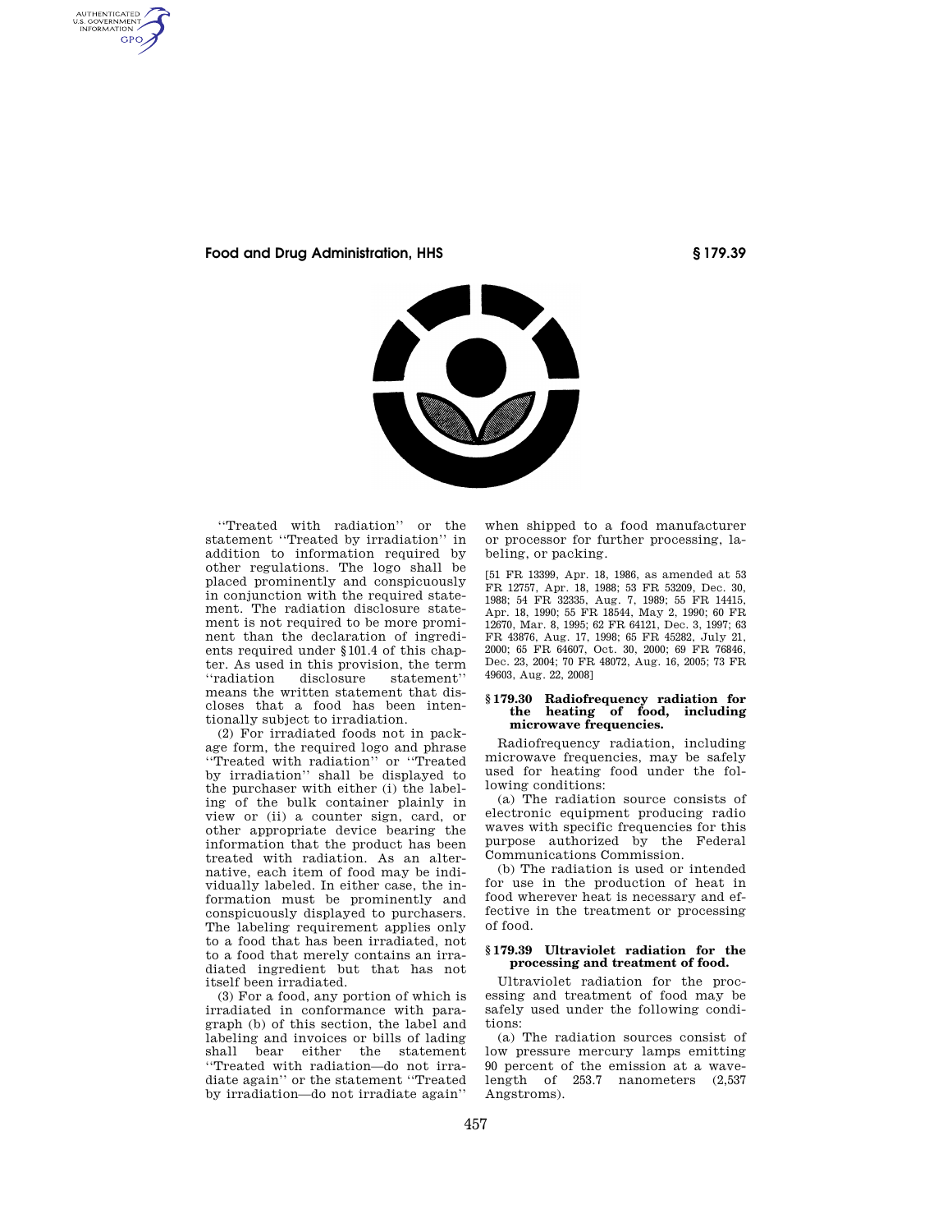AUTHENTICATED<br>U.S. GOVERNMENT<br>INFORMATION GPO

**Food and Drug Administration, HHS § 179.39** 



''Treated with radiation'' or the statement ''Treated by irradiation'' in addition to information required by other regulations. The logo shall be placed prominently and conspicuously in conjunction with the required statement. The radiation disclosure statement is not required to be more prominent than the declaration of ingredients required under §101.4 of this chapter. As used in this provision, the term<br>
"radiation disclosure statement" disclosure statement" means the written statement that discloses that a food has been intentionally subject to irradiation.

(2) For irradiated foods not in package form, the required logo and phrase ''Treated with radiation'' or ''Treated by irradiation'' shall be displayed to the purchaser with either (i) the labeling of the bulk container plainly in view or (ii) a counter sign, card, or other appropriate device bearing the information that the product has been treated with radiation. As an alternative, each item of food may be individually labeled. In either case, the information must be prominently and conspicuously displayed to purchasers. The labeling requirement applies only to a food that has been irradiated, not to a food that merely contains an irradiated ingredient but that has not itself been irradiated.

(3) For a food, any portion of which is irradiated in conformance with paragraph (b) of this section, the label and labeling and invoices or bills of lading shall bear either the statement ''Treated with radiation—do not irradiate again'' or the statement ''Treated by irradiation—do not irradiate again''

when shipped to a food manufacturer or processor for further processing, labeling, or packing.

[51 FR 13399, Apr. 18, 1986, as amended at 53 FR 12757, Apr. 18, 1988; 53 FR 53209, Dec. 30, 1988; 54 FR 32335, Aug. 7, 1989; 55 FR 14415, Apr. 18, 1990; 55 FR 18544, May 2, 1990; 60 FR 12670, Mar. 8, 1995; 62 FR 64121, Dec. 3, 1997; 63 FR 43876, Aug. 17, 1998; 65 FR 45282, July 21, 2000; 65 FR 64607, Oct. 30, 2000; 69 FR 76846, Dec. 23, 2004; 70 FR 48072, Aug. 16, 2005; 73 FR 49603, Aug. 22, 2008]

## **§ 179.30 Radiofrequency radiation for the heating of food, including microwave frequencies.**

Radiofrequency radiation, including microwave frequencies, may be safely used for heating food under the following conditions:

(a) The radiation source consists of electronic equipment producing radio waves with specific frequencies for this purpose authorized by the Federal Communications Commission.

(b) The radiation is used or intended for use in the production of heat in food wherever heat is necessary and effective in the treatment or processing of food.

## **§ 179.39 Ultraviolet radiation for the processing and treatment of food.**

Ultraviolet radiation for the processing and treatment of food may be safely used under the following conditions:

(a) The radiation sources consist of low pressure mercury lamps emitting 90 percent of the emission at a wavelength of 253.7 nanometers (2,537 Angstroms).